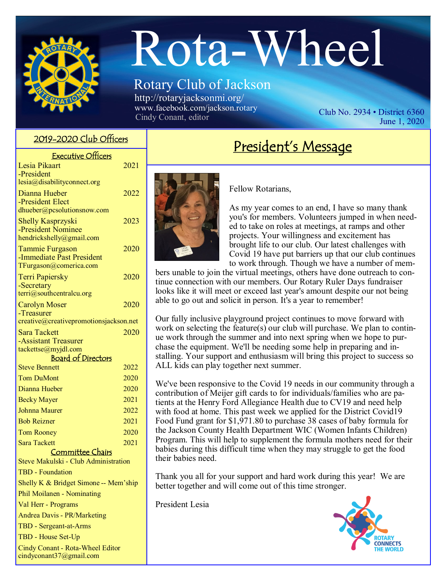

# Rota-Wheel

# Rotary Club of Jackson http://rotaryjacksonmi.org/

www.facebook.com/jackson.rotary<br>Cindy Conant, editor

Club No.  $2934 \cdot$  District 6360 June 1, 2020

#### 2019-2020 Club Officers

| <b>Executive Officers</b>                           |      |
|-----------------------------------------------------|------|
| Lesia Pikaart                                       | 2021 |
| -President                                          |      |
| lesia@disabilityconnect.org                         |      |
| Dianna Hueber<br>-President Elect                   | 2022 |
| dhueber@pcsolutionsnow.com                          |      |
| <b>Shelly Kasprzyski</b>                            | 2023 |
| -President Nominee                                  |      |
| hendrickshelly@gmail.com                            |      |
| <b>Tammie Furgason</b>                              | 2020 |
| -Immediate Past President<br>TFurgason@comerica.com |      |
| <b>Terri Papiersky</b>                              | 2020 |
| -Secretary                                          |      |
| terri@southcentralcu.org                            |      |
| <b>Carolyn Moser</b>                                | 2020 |
| -Treasurer                                          |      |
| creative@creativepromotionsjackson.net              |      |
| <b>Sara Tackett</b><br>-Assistant Treasurer         | 2020 |
| tackettse@myjdl.com                                 |      |
| <b>Board of Directors</b>                           |      |
| <b>Steve Bennett</b>                                | 2022 |
| <b>Tom DuMont</b>                                   | 2020 |
| Dianna Hueber                                       | 2020 |
| <b>Becky Mayer</b>                                  | 2021 |
| Johnna Maurer                                       | 2022 |
| <b>Bob Reizner</b>                                  | 2021 |
| <b>Tom Rooney</b>                                   | 2020 |
| <b>Sara Tackett</b>                                 | 2021 |
| Committee Chairs                                    |      |
| Steve Makulski - Club Administration                |      |
| <b>TBD</b> - Foundation                             |      |
| Shelly K & Bridget Simone -- Mem'ship               |      |
| Phil Moilanen - Nominating                          |      |
| Val Herr - Programs                                 |      |
| Andrea Davis - PR/Marketing                         |      |
| TBD - Sergeant-at-Arms                              |      |
| TBD - House Set-Up                                  |      |

Cindy Conant - Rota-Wheel Editor cindyconant37@gmail.com



President's Message

Fellow Rotarians,

As my year comes to an end, I have so many thank you's for members. Volunteers jumped in when needed to take on roles at meetings, at ramps and other projects. Your willingness and excitement has brought life to our club. Our latest challenges with Covid 19 have put barriers up that our club continues to work through. Though we have a number of mem-

bers unable to join the virtual meetings, others have done outreach to continue connection with our members. Our Rotary Ruler Days fundraiser looks like it will meet or exceed last year's amount despite our not being able to go out and solicit in person. It's a year to remember!

Our fully inclusive playground project continues to move forward with work on selecting the feature(s) our club will purchase. We plan to continue work through the summer and into next spring when we hope to purchase the equipment. We'll be needing some help in preparing and installing. Your support and enthusiasm will bring this project to success so ALL kids can play together next summer.

We've been responsive to the Covid 19 needs in our community through a contribution of Meijer gift cards to for individuals/families who are patients at the Henry Ford Allegiance Health due to CV19 and need help with food at home. This past week we applied for the District Covid19 Food Fund grant for \$1,971.80 to purchase 38 cases of baby formula for the Jackson County Health Department WIC (Women Infants Children) Program. This will help to supplement the formula mothers need for their babies during this difficult time when they may struggle to get the food their babies need.

Thank you all for your support and hard work during this year! We are better together and will come out of this time stronger.

President Lesia

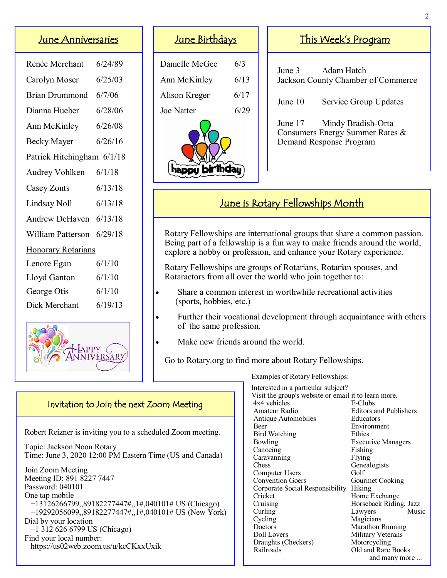# June Anniversaries

| Renée Merchant             | 6/24/89 |  |
|----------------------------|---------|--|
| Carolyn Moser              | 6/25/03 |  |
| <b>Brian Drummond</b>      | 6/7/06  |  |
| Dianna Hueber              | 6/28/06 |  |
| Ann McKinley               | 6/26/08 |  |
| Becky Mayer                | 6/26/16 |  |
| Patrick Hitchingham 6/1/18 |         |  |
| Audrey Vohlken             | 6/1/18  |  |
| Casey Zonts                | 6/13/18 |  |
| Lindsay Noll               | 6/13/18 |  |
| Andrew DeHaven             | 6/13/18 |  |
| William Patterson          | 6/29/18 |  |
| <b>Honorary Rotarians</b>  |         |  |
| Lenore Egan                | 6/1/10  |  |
| Lloyd Ganton               | 6/1/10  |  |
| George Otis                | 6/1/10  |  |
| Dick Merchant              | 6/19/13 |  |
|                            |         |  |



# June Birthdays

| Danielle McGee | 6/3  |  |
|----------------|------|--|
| Ann McKinley   | 6/13 |  |
| Alison Kreger  | 6/17 |  |
| Joe Natter     | 6/29 |  |
|                |      |  |

# This Week's Program

June 3 Adam Hatch Jackson County Chamber of Commerce

June 10 Service Group Updates

June 17 Mindy Bradish-Orta Consumers Energy Summer Rates & Demand Response Program

# June is Rotary Fellowships Month

 Rotary Fellowships are international groups that share a common passion. Being part of a fellowship is a fun way to make friends around the world, explore a hobby or profession, and enhance your Rotary experience.

 Rotary Fellowships are groups of Rotarians, Rotarian spouses, and Rotaractors from all over the world who join together to:

- Share a common interest in worthwhile recreational activities (sports, hobbies, etc.)
- Further their vocational development through acquaintance with others of the same profession.
- Make new friends around the world.

Go to Rotary.org to find more about Rotary Fellowships.

Examples of Rotary Fellowships:

 Interested in a particular subject? Visit the group's website or email it to learn more. 4x4 vehicles E-Clubs<br>Amateur Radio Editors a **Editors and Publishers**  Antique Automobiles Educators Beer Environment Bird Watching Ethics Bowling Executive Managers Canoeing Fishing<br>Caravanning Flying Caravanning<br>Chess Genealogists Computer Users Golf Convention Goers Gourmet Cooking Corporate Social Responsibility Hiking Cricket Home Exchange Cruising Horseback Riding, Jazz<br>Curling Lawyers Music Curling Lawyers Cycling Magicians<br>Doctors Marathon I Marathon Running Doll Lovers Military Veterans<br>Draughts (Checkers) Motorcycling Draughts (Checkers)<br>Railroads Old and Rare Books and many more ...

#### Invitation to Join the next Zoom Meeting

Robert Reizner is inviting you to a scheduled Zoom meeting.

 Topic: Jackson Noon Rotary Time: June 3, 2020 12:00 PM Eastern Time (US and Canada)

 Join Zoom Meeting Meeting ID: 891 8227 7447 Password: 040101 One tap mobile +13126266799,,89182277447#,,1#,040101# US (Chicago) +19292056099,,89182277447#,,1#,040101# US (New York) Dial by your location +1 312 626 6799 US (Chicago) Find your local number: https://us02web.zoom.us/u/kcCKxxUxik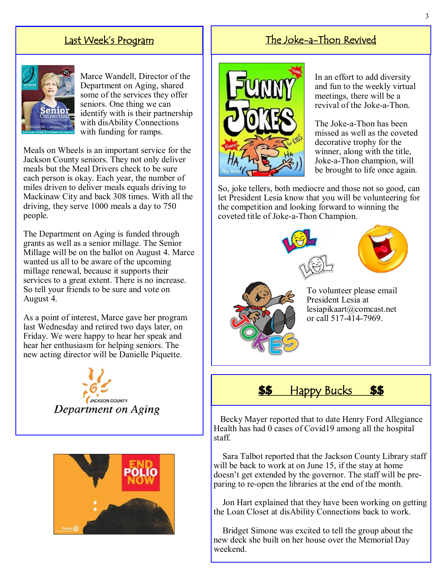### Last Week's Program



Marce Wandell, Director of the Department on Aging, shared some of the services they offer seniors. One thing we can identify with is their partnership with disAbility Connections with funding for ramps.

Meals on Wheels is an important service for the Jackson County seniors. They not only deliver meals but the Meal Drivers check to be sure each person is okay. Each year, the number of miles driven to deliver meals equals driving to Mackinaw City and back 308 times. With all the driving, they serve 1000 meals a day to 750 people.

The Department on Aging is funded through grants as well as a senior millage. The Senior Millage will be on the ballot on August 4. Marce wanted us all to be aware of the upcoming millage renewal, because it supports their services to a great extent. There is no increase. So tell your friends to be sure and vote on August 4.

As a point of interest, Marce gave her program last Wednesday and retired two days later, on Friday. We were happy to hear her speak and hear her enthusiasm for helping seniors. The new acting director will be Danielle Piquette.





# The Joke-a-Thon Revived



In an effort to add diversity and fun to the weekly virtual meetings, there will be a revival of the Joke-a-Thon.

The Joke-a-Thon has been missed as well as the coveted decorative trophy for the winner, along with the title, Joke-a-Thon champion, will be brought to life once again.

So, joke tellers, both mediocre and those not so good, can let President Lesia know that you will be volunteering for the competition and looking forward to winning the coveted title of Joke-a-Thon Champion.





To volunteer please email President Lesia at lesiapikaart@comcast.net or call 517-414-7969.



 Becky Mayer reported that to date Henry Ford Allegiance Health has had 0 cases of Covid19 among all the hospital staff.

 Sara Talbot reported that the Jackson County Library staff will be back to work at on June 15, if the stay at home doesn't get extended by the governor. The staff will be preparing to re-open the libraries at the end of the month.

 Jon Hart explained that they have been working on getting the Loan Closet at disAbility Connections back to work.

 Bridget Simone was excited to tell the group about the new deck she built on her house over the Memorial Day weekend.